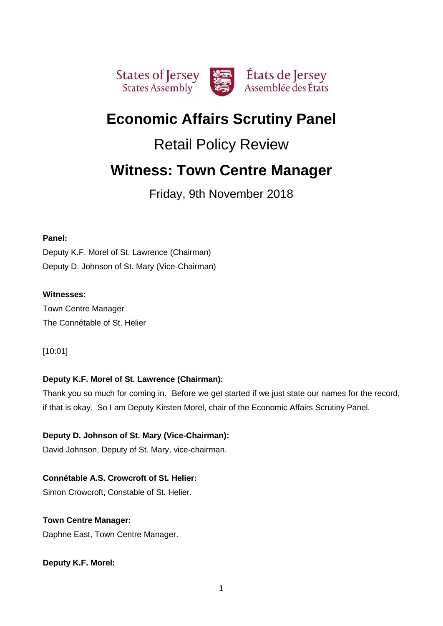

# **Economic Affairs Scrutiny Panel**

# Retail Policy Review

# **Witness: Town Centre Manager**

Friday, 9th November 2018

# **Panel:**

Deputy K.F. Morel of St. Lawrence (Chairman) Deputy D. Johnson of St. Mary (Vice-Chairman)

# **Witnesses:**

Town Centre Manager The Connétable of St. Helier

# [10:01]

# **Deputy K.F. Morel of St. Lawrence (Chairman):**

Thank you so much for coming in. Before we get started if we just state our names for the record, if that is okay. So I am Deputy Kirsten Morel, chair of the Economic Affairs Scrutiny Panel.

# **Deputy D. Johnson of St. Mary (Vice-Chairman):**

David Johnson, Deputy of St. Mary, vice-chairman.

# **Connétable A.S. Crowcroft of St. Helier:** Simon Crowcroft, Constable of St. Helier.

**Town Centre Manager:**

Daphne East, Town Centre Manager.

**Deputy K.F. Morel:**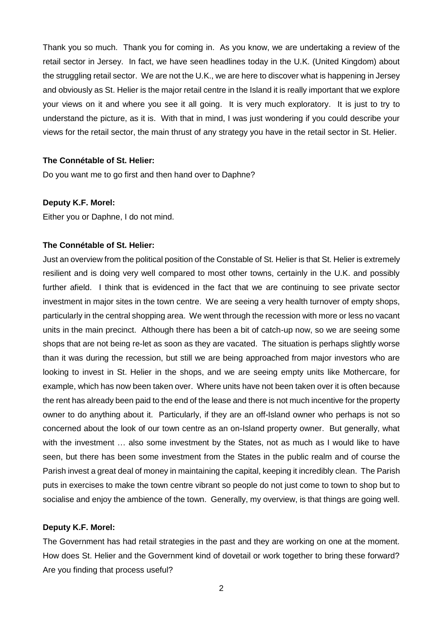Thank you so much. Thank you for coming in. As you know, we are undertaking a review of the retail sector in Jersey. In fact, we have seen headlines today in the U.K. (United Kingdom) about the struggling retail sector. We are not the U.K., we are here to discover what is happening in Jersey and obviously as St. Helier is the major retail centre in the Island it is really important that we explore your views on it and where you see it all going. It is very much exploratory. It is just to try to understand the picture, as it is. With that in mind, I was just wondering if you could describe your views for the retail sector, the main thrust of any strategy you have in the retail sector in St. Helier.

## **The Connétable of St. Helier:**

Do you want me to go first and then hand over to Daphne?

#### **Deputy K.F. Morel:**

Either you or Daphne, I do not mind.

#### **The Connétable of St. Helier:**

Just an overview from the political position of the Constable of St. Helier is that St. Helier is extremely resilient and is doing very well compared to most other towns, certainly in the U.K. and possibly further afield. I think that is evidenced in the fact that we are continuing to see private sector investment in major sites in the town centre. We are seeing a very health turnover of empty shops, particularly in the central shopping area. We went through the recession with more or less no vacant units in the main precinct. Although there has been a bit of catch-up now, so we are seeing some shops that are not being re-let as soon as they are vacated. The situation is perhaps slightly worse than it was during the recession, but still we are being approached from major investors who are looking to invest in St. Helier in the shops, and we are seeing empty units like Mothercare, for example, which has now been taken over. Where units have not been taken over it is often because the rent has already been paid to the end of the lease and there is not much incentive for the property owner to do anything about it. Particularly, if they are an off-Island owner who perhaps is not so concerned about the look of our town centre as an on-Island property owner. But generally, what with the investment ... also some investment by the States, not as much as I would like to have seen, but there has been some investment from the States in the public realm and of course the Parish invest a great deal of money in maintaining the capital, keeping it incredibly clean. The Parish puts in exercises to make the town centre vibrant so people do not just come to town to shop but to socialise and enjoy the ambience of the town. Generally, my overview, is that things are going well.

#### **Deputy K.F. Morel:**

The Government has had retail strategies in the past and they are working on one at the moment. How does St. Helier and the Government kind of dovetail or work together to bring these forward? Are you finding that process useful?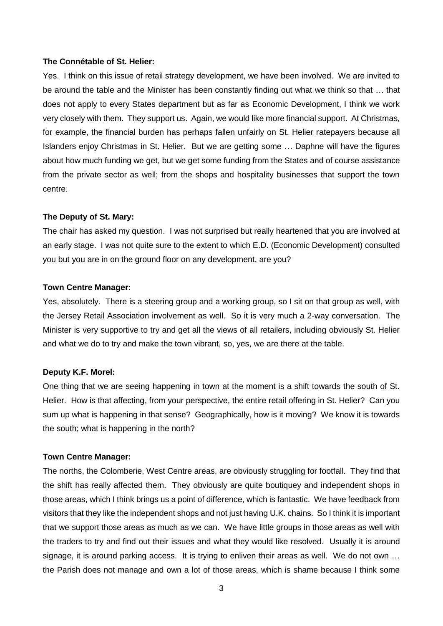## **The Connétable of St. Helier:**

Yes. I think on this issue of retail strategy development, we have been involved. We are invited to be around the table and the Minister has been constantly finding out what we think so that … that does not apply to every States department but as far as Economic Development, I think we work very closely with them. They support us. Again, we would like more financial support. At Christmas, for example, the financial burden has perhaps fallen unfairly on St. Helier ratepayers because all Islanders enjoy Christmas in St. Helier. But we are getting some … Daphne will have the figures about how much funding we get, but we get some funding from the States and of course assistance from the private sector as well; from the shops and hospitality businesses that support the town centre.

#### **The Deputy of St. Mary:**

The chair has asked my question. I was not surprised but really heartened that you are involved at an early stage. I was not quite sure to the extent to which E.D. (Economic Development) consulted you but you are in on the ground floor on any development, are you?

#### **Town Centre Manager:**

Yes, absolutely. There is a steering group and a working group, so I sit on that group as well, with the Jersey Retail Association involvement as well. So it is very much a 2-way conversation. The Minister is very supportive to try and get all the views of all retailers, including obviously St. Helier and what we do to try and make the town vibrant, so, yes, we are there at the table.

#### **Deputy K.F. Morel:**

One thing that we are seeing happening in town at the moment is a shift towards the south of St. Helier. How is that affecting, from your perspective, the entire retail offering in St. Helier? Can you sum up what is happening in that sense? Geographically, how is it moving? We know it is towards the south; what is happening in the north?

#### **Town Centre Manager:**

The norths, the Colomberie, West Centre areas, are obviously struggling for footfall. They find that the shift has really affected them. They obviously are quite boutiquey and independent shops in those areas, which I think brings us a point of difference, which is fantastic. We have feedback from visitors that they like the independent shops and not just having U.K. chains. So I think it is important that we support those areas as much as we can. We have little groups in those areas as well with the traders to try and find out their issues and what they would like resolved. Usually it is around signage, it is around parking access. It is trying to enliven their areas as well. We do not own ... the Parish does not manage and own a lot of those areas, which is shame because I think some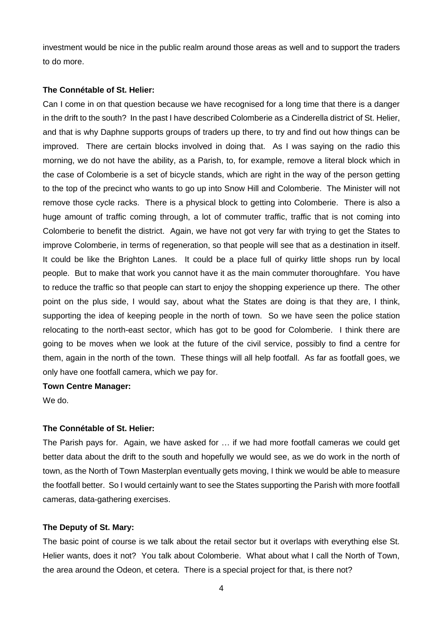investment would be nice in the public realm around those areas as well and to support the traders to do more.

#### **The Connétable of St. Helier:**

Can I come in on that question because we have recognised for a long time that there is a danger in the drift to the south? In the past I have described Colomberie as a Cinderella district of St. Helier, and that is why Daphne supports groups of traders up there, to try and find out how things can be improved. There are certain blocks involved in doing that. As I was saying on the radio this morning, we do not have the ability, as a Parish, to, for example, remove a literal block which in the case of Colomberie is a set of bicycle stands, which are right in the way of the person getting to the top of the precinct who wants to go up into Snow Hill and Colomberie. The Minister will not remove those cycle racks. There is a physical block to getting into Colomberie. There is also a huge amount of traffic coming through, a lot of commuter traffic, traffic that is not coming into Colomberie to benefit the district. Again, we have not got very far with trying to get the States to improve Colomberie, in terms of regeneration, so that people will see that as a destination in itself. It could be like the Brighton Lanes. It could be a place full of quirky little shops run by local people. But to make that work you cannot have it as the main commuter thoroughfare. You have to reduce the traffic so that people can start to enjoy the shopping experience up there. The other point on the plus side, I would say, about what the States are doing is that they are, I think, supporting the idea of keeping people in the north of town. So we have seen the police station relocating to the north-east sector, which has got to be good for Colomberie. I think there are going to be moves when we look at the future of the civil service, possibly to find a centre for them, again in the north of the town. These things will all help footfall. As far as footfall goes, we only have one footfall camera, which we pay for.

## **Town Centre Manager:**

We do.

#### **The Connétable of St. Helier:**

The Parish pays for. Again, we have asked for … if we had more footfall cameras we could get better data about the drift to the south and hopefully we would see, as we do work in the north of town, as the North of Town Masterplan eventually gets moving, I think we would be able to measure the footfall better. So I would certainly want to see the States supporting the Parish with more footfall cameras, data-gathering exercises.

#### **The Deputy of St. Mary:**

The basic point of course is we talk about the retail sector but it overlaps with everything else St. Helier wants, does it not? You talk about Colomberie. What about what I call the North of Town, the area around the Odeon, et cetera. There is a special project for that, is there not?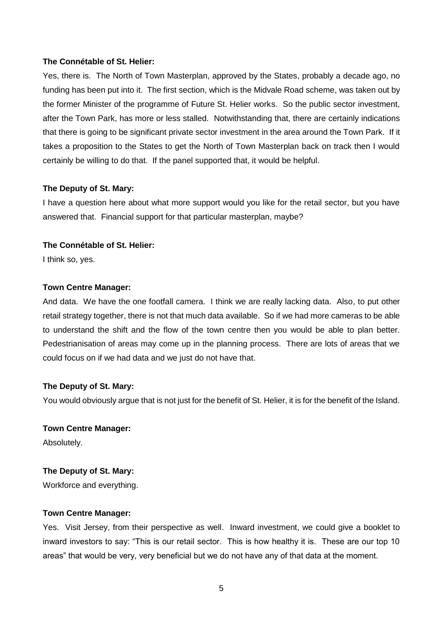#### **The Connétable of St. Helier:**

Yes, there is. The North of Town Masterplan, approved by the States, probably a decade ago, no funding has been put into it. The first section, which is the Midvale Road scheme, was taken out by the former Minister of the programme of Future St. Helier works. So the public sector investment, after the Town Park, has more or less stalled. Notwithstanding that, there are certainly indications that there is going to be significant private sector investment in the area around the Town Park. If it takes a proposition to the States to get the North of Town Masterplan back on track then I would certainly be willing to do that. If the panel supported that, it would be helpful.

## **The Deputy of St. Mary:**

I have a question here about what more support would you like for the retail sector, but you have answered that. Financial support for that particular masterplan, maybe?

# **The Connétable of St. Helier:**

I think so, yes.

## **Town Centre Manager:**

And data. We have the one footfall camera. I think we are really lacking data. Also, to put other retail strategy together, there is not that much data available. So if we had more cameras to be able to understand the shift and the flow of the town centre then you would be able to plan better. Pedestrianisation of areas may come up in the planning process. There are lots of areas that we could focus on if we had data and we just do not have that.

# **The Deputy of St. Mary:**

You would obviously argue that is not just for the benefit of St. Helier, it is for the benefit of the Island.

**Town Centre Manager:** Absolutely.

# **The Deputy of St. Mary:**

Workforce and everything.

# **Town Centre Manager:**

Yes. Visit Jersey, from their perspective as well. Inward investment, we could give a booklet to inward investors to say: "This is our retail sector. This is how healthy it is. These are our top 10 areas" that would be very, very beneficial but we do not have any of that data at the moment.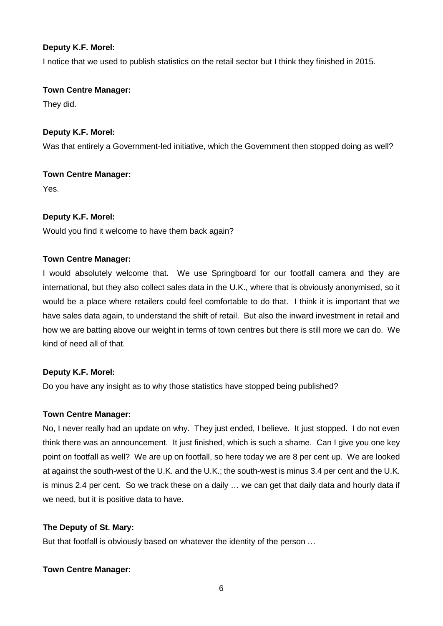# **Deputy K.F. Morel:**

I notice that we used to publish statistics on the retail sector but I think they finished in 2015.

# **Town Centre Manager:**

They did.

# **Deputy K.F. Morel:**

Was that entirely a Government-led initiative, which the Government then stopped doing as well?

# **Town Centre Manager:**

Yes.

# **Deputy K.F. Morel:**

Would you find it welcome to have them back again?

# **Town Centre Manager:**

I would absolutely welcome that. We use Springboard for our footfall camera and they are international, but they also collect sales data in the U.K., where that is obviously anonymised, so it would be a place where retailers could feel comfortable to do that. I think it is important that we have sales data again, to understand the shift of retail. But also the inward investment in retail and how we are batting above our weight in terms of town centres but there is still more we can do. We kind of need all of that.

# **Deputy K.F. Morel:**

Do you have any insight as to why those statistics have stopped being published?

# **Town Centre Manager:**

No, I never really had an update on why. They just ended, I believe. It just stopped. I do not even think there was an announcement. It just finished, which is such a shame. Can I give you one key point on footfall as well? We are up on footfall, so here today we are 8 per cent up. We are looked at against the south-west of the U.K. and the U.K.; the south-west is minus 3.4 per cent and the U.K. is minus 2.4 per cent. So we track these on a daily … we can get that daily data and hourly data if we need, but it is positive data to have.

# **The Deputy of St. Mary:**

But that footfall is obviously based on whatever the identity of the person …

# **Town Centre Manager:**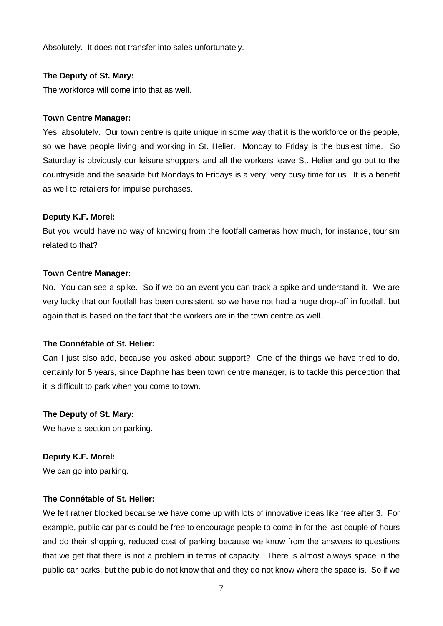Absolutely. It does not transfer into sales unfortunately.

## **The Deputy of St. Mary:**

The workforce will come into that as well.

#### **Town Centre Manager:**

Yes, absolutely. Our town centre is quite unique in some way that it is the workforce or the people, so we have people living and working in St. Helier. Monday to Friday is the busiest time. So Saturday is obviously our leisure shoppers and all the workers leave St. Helier and go out to the countryside and the seaside but Mondays to Fridays is a very, very busy time for us. It is a benefit as well to retailers for impulse purchases.

## **Deputy K.F. Morel:**

But you would have no way of knowing from the footfall cameras how much, for instance, tourism related to that?

## **Town Centre Manager:**

No. You can see a spike. So if we do an event you can track a spike and understand it. We are very lucky that our footfall has been consistent, so we have not had a huge drop-off in footfall, but again that is based on the fact that the workers are in the town centre as well.

#### **The Connétable of St. Helier:**

Can I just also add, because you asked about support? One of the things we have tried to do, certainly for 5 years, since Daphne has been town centre manager, is to tackle this perception that it is difficult to park when you come to town.

#### **The Deputy of St. Mary:**

We have a section on parking.

#### **Deputy K.F. Morel:**

We can go into parking.

#### **The Connétable of St. Helier:**

We felt rather blocked because we have come up with lots of innovative ideas like free after 3. For example, public car parks could be free to encourage people to come in for the last couple of hours and do their shopping, reduced cost of parking because we know from the answers to questions that we get that there is not a problem in terms of capacity. There is almost always space in the public car parks, but the public do not know that and they do not know where the space is. So if we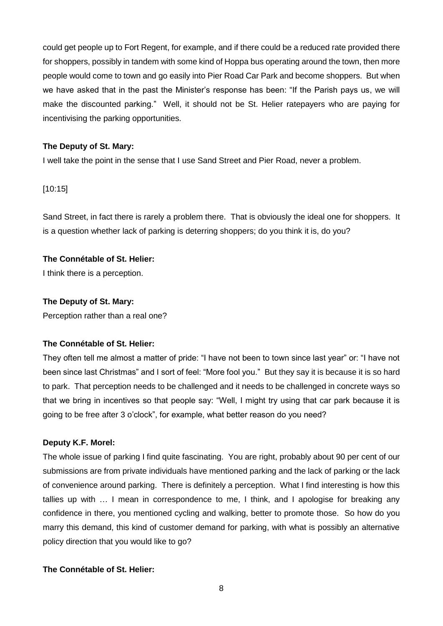could get people up to Fort Regent, for example, and if there could be a reduced rate provided there for shoppers, possibly in tandem with some kind of Hoppa bus operating around the town, then more people would come to town and go easily into Pier Road Car Park and become shoppers. But when we have asked that in the past the Minister's response has been: "If the Parish pays us, we will make the discounted parking." Well, it should not be St. Helier ratepayers who are paying for incentivising the parking opportunities.

## **The Deputy of St. Mary:**

I well take the point in the sense that I use Sand Street and Pier Road, never a problem.

## [10:15]

Sand Street, in fact there is rarely a problem there. That is obviously the ideal one for shoppers. It is a question whether lack of parking is deterring shoppers; do you think it is, do you?

## **The Connétable of St. Helier:**

I think there is a perception.

## **The Deputy of St. Mary:**

Perception rather than a real one?

# **The Connétable of St. Helier:**

They often tell me almost a matter of pride: "I have not been to town since last year" or: "I have not been since last Christmas" and I sort of feel: "More fool you." But they say it is because it is so hard to park. That perception needs to be challenged and it needs to be challenged in concrete ways so that we bring in incentives so that people say: "Well, I might try using that car park because it is going to be free after 3 o'clock", for example, what better reason do you need?

# **Deputy K.F. Morel:**

The whole issue of parking I find quite fascinating. You are right, probably about 90 per cent of our submissions are from private individuals have mentioned parking and the lack of parking or the lack of convenience around parking. There is definitely a perception. What I find interesting is how this tallies up with … I mean in correspondence to me, I think, and I apologise for breaking any confidence in there, you mentioned cycling and walking, better to promote those. So how do you marry this demand, this kind of customer demand for parking, with what is possibly an alternative policy direction that you would like to go?

# **The Connétable of St. Helier:**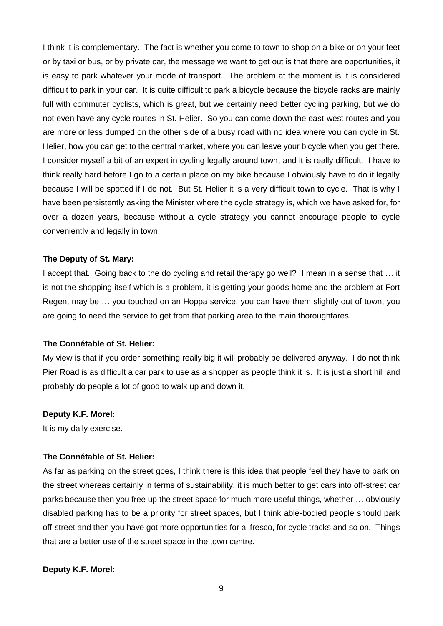I think it is complementary. The fact is whether you come to town to shop on a bike or on your feet or by taxi or bus, or by private car, the message we want to get out is that there are opportunities, it is easy to park whatever your mode of transport. The problem at the moment is it is considered difficult to park in your car. It is quite difficult to park a bicycle because the bicycle racks are mainly full with commuter cyclists, which is great, but we certainly need better cycling parking, but we do not even have any cycle routes in St. Helier. So you can come down the east-west routes and you are more or less dumped on the other side of a busy road with no idea where you can cycle in St. Helier, how you can get to the central market, where you can leave your bicycle when you get there. I consider myself a bit of an expert in cycling legally around town, and it is really difficult. I have to think really hard before I go to a certain place on my bike because I obviously have to do it legally because I will be spotted if I do not. But St. Helier it is a very difficult town to cycle. That is why I have been persistently asking the Minister where the cycle strategy is, which we have asked for, for over a dozen years, because without a cycle strategy you cannot encourage people to cycle conveniently and legally in town.

#### **The Deputy of St. Mary:**

I accept that. Going back to the do cycling and retail therapy go well? I mean in a sense that … it is not the shopping itself which is a problem, it is getting your goods home and the problem at Fort Regent may be … you touched on an Hoppa service, you can have them slightly out of town, you are going to need the service to get from that parking area to the main thoroughfares.

#### **The Connétable of St. Helier:**

My view is that if you order something really big it will probably be delivered anyway. I do not think Pier Road is as difficult a car park to use as a shopper as people think it is. It is just a short hill and probably do people a lot of good to walk up and down it.

#### **Deputy K.F. Morel:**

It is my daily exercise.

#### **The Connétable of St. Helier:**

As far as parking on the street goes, I think there is this idea that people feel they have to park on the street whereas certainly in terms of sustainability, it is much better to get cars into off-street car parks because then you free up the street space for much more useful things, whether … obviously disabled parking has to be a priority for street spaces, but I think able-bodied people should park off-street and then you have got more opportunities for al fresco, for cycle tracks and so on. Things that are a better use of the street space in the town centre.

#### **Deputy K.F. Morel:**

9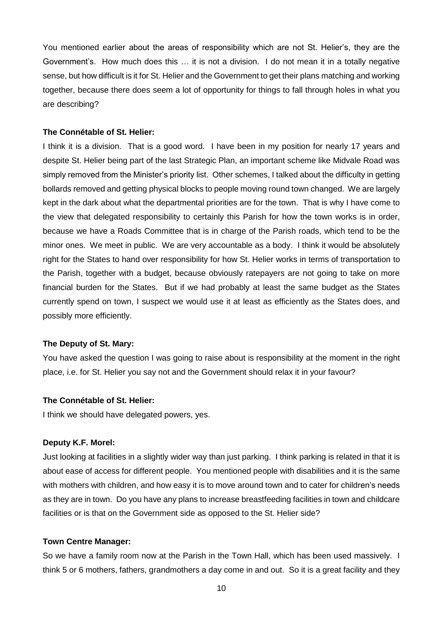You mentioned earlier about the areas of responsibility which are not St. Helier's, they are the Government's. How much does this … it is not a division. I do not mean it in a totally negative sense, but how difficult is it for St. Helier and the Government to get their plans matching and working together, because there does seem a lot of opportunity for things to fall through holes in what you are describing?

#### **The Connétable of St. Helier:**

I think it is a division. That is a good word. I have been in my position for nearly 17 years and despite St. Helier being part of the last Strategic Plan, an important scheme like Midvale Road was simply removed from the Minister's priority list. Other schemes, I talked about the difficulty in getting bollards removed and getting physical blocks to people moving round town changed. We are largely kept in the dark about what the departmental priorities are for the town. That is why I have come to the view that delegated responsibility to certainly this Parish for how the town works is in order, because we have a Roads Committee that is in charge of the Parish roads, which tend to be the minor ones. We meet in public. We are very accountable as a body. I think it would be absolutely right for the States to hand over responsibility for how St. Helier works in terms of transportation to the Parish, together with a budget, because obviously ratepayers are not going to take on more financial burden for the States. But if we had probably at least the same budget as the States currently spend on town, I suspect we would use it at least as efficiently as the States does, and possibly more efficiently.

#### **The Deputy of St. Mary:**

You have asked the question I was going to raise about is responsibility at the moment in the right place, i.e. for St. Helier you say not and the Government should relax it in your favour?

#### **The Connétable of St. Helier:**

I think we should have delegated powers, yes.

#### **Deputy K.F. Morel:**

Just looking at facilities in a slightly wider way than just parking. I think parking is related in that it is about ease of access for different people. You mentioned people with disabilities and it is the same with mothers with children, and how easy it is to move around town and to cater for children's needs as they are in town. Do you have any plans to increase breastfeeding facilities in town and childcare facilities or is that on the Government side as opposed to the St. Helier side?

#### **Town Centre Manager:**

So we have a family room now at the Parish in the Town Hall, which has been used massively. I think 5 or 6 mothers, fathers, grandmothers a day come in and out. So it is a great facility and they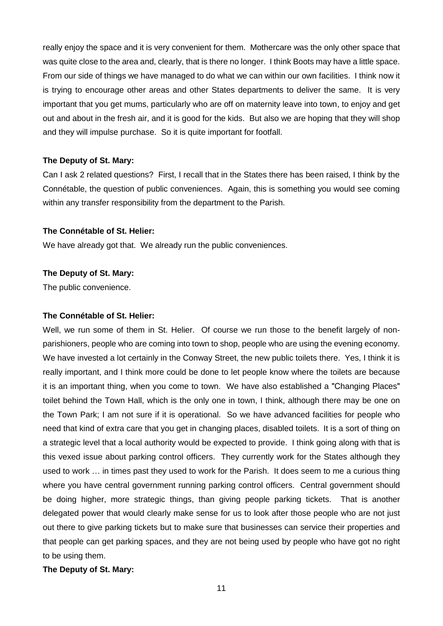really enjoy the space and it is very convenient for them. Mothercare was the only other space that was quite close to the area and, clearly, that is there no longer. I think Boots may have a little space. From our side of things we have managed to do what we can within our own facilities. I think now it is trying to encourage other areas and other States departments to deliver the same. It is very important that you get mums, particularly who are off on maternity leave into town, to enjoy and get out and about in the fresh air, and it is good for the kids. But also we are hoping that they will shop and they will impulse purchase. So it is quite important for footfall.

## **The Deputy of St. Mary:**

Can I ask 2 related questions? First, I recall that in the States there has been raised, I think by the Connétable, the question of public conveniences. Again, this is something you would see coming within any transfer responsibility from the department to the Parish.

## **The Connétable of St. Helier:**

We have already got that. We already run the public conveniences.

## **The Deputy of St. Mary:**

The public convenience.

#### **The Connétable of St. Helier:**

Well, we run some of them in St. Helier. Of course we run those to the benefit largely of nonparishioners, people who are coming into town to shop, people who are using the evening economy. We have invested a lot certainly in the Conway Street, the new public toilets there. Yes, I think it is really important, and I think more could be done to let people know where the toilets are because it is an important thing, when you come to town. We have also established a "Changing Places" toilet behind the Town Hall, which is the only one in town, I think, although there may be one on the Town Park; I am not sure if it is operational. So we have advanced facilities for people who need that kind of extra care that you get in changing places, disabled toilets. It is a sort of thing on a strategic level that a local authority would be expected to provide. I think going along with that is this vexed issue about parking control officers. They currently work for the States although they used to work … in times past they used to work for the Parish. It does seem to me a curious thing where you have central government running parking control officers. Central government should be doing higher, more strategic things, than giving people parking tickets. That is another delegated power that would clearly make sense for us to look after those people who are not just out there to give parking tickets but to make sure that businesses can service their properties and that people can get parking spaces, and they are not being used by people who have got no right to be using them.

# **The Deputy of St. Mary:**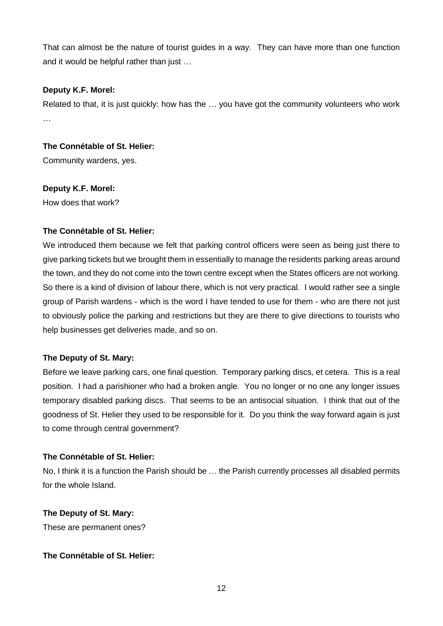That can almost be the nature of tourist guides in a way. They can have more than one function and it would be helpful rather than just …

# **Deputy K.F. Morel:**

Related to that, it is just quickly: how has the … you have got the community volunteers who work …

**The Connétable of St. Helier:** Community wardens, yes.

**Deputy K.F. Morel:**

How does that work?

# **The Connétable of St. Helier:**

We introduced them because we felt that parking control officers were seen as being just there to give parking tickets but we brought them in essentially to manage the residents parking areas around the town, and they do not come into the town centre except when the States officers are not working. So there is a kind of division of labour there, which is not very practical. I would rather see a single group of Parish wardens - which is the word I have tended to use for them - who are there not just to obviously police the parking and restrictions but they are there to give directions to tourists who help businesses get deliveries made, and so on.

# **The Deputy of St. Mary:**

Before we leave parking cars, one final question. Temporary parking discs, et cetera. This is a real position. I had a parishioner who had a broken angle. You no longer or no one any longer issues temporary disabled parking discs. That seems to be an antisocial situation. I think that out of the goodness of St. Helier they used to be responsible for it. Do you think the way forward again is just to come through central government?

# **The Connétable of St. Helier:**

No, I think it is a function the Parish should be … the Parish currently processes all disabled permits for the whole Island.

**The Deputy of St. Mary:** These are permanent ones?

# **The Connétable of St. Helier:**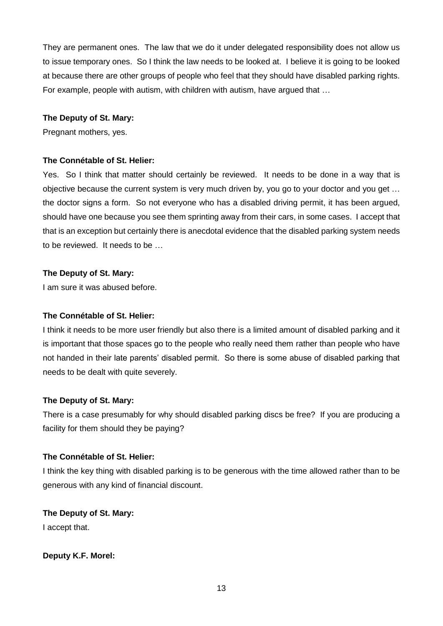They are permanent ones. The law that we do it under delegated responsibility does not allow us to issue temporary ones. So I think the law needs to be looked at. I believe it is going to be looked at because there are other groups of people who feel that they should have disabled parking rights. For example, people with autism, with children with autism, have argued that …

## **The Deputy of St. Mary:**

Pregnant mothers, yes.

# **The Connétable of St. Helier:**

Yes. So I think that matter should certainly be reviewed. It needs to be done in a way that is objective because the current system is very much driven by, you go to your doctor and you get … the doctor signs a form. So not everyone who has a disabled driving permit, it has been argued, should have one because you see them sprinting away from their cars, in some cases. I accept that that is an exception but certainly there is anecdotal evidence that the disabled parking system needs to be reviewed. It needs to be …

# **The Deputy of St. Mary:**

I am sure it was abused before.

# **The Connétable of St. Helier:**

I think it needs to be more user friendly but also there is a limited amount of disabled parking and it is important that those spaces go to the people who really need them rather than people who have not handed in their late parents' disabled permit. So there is some abuse of disabled parking that needs to be dealt with quite severely.

# **The Deputy of St. Mary:**

There is a case presumably for why should disabled parking discs be free? If you are producing a facility for them should they be paying?

# **The Connétable of St. Helier:**

I think the key thing with disabled parking is to be generous with the time allowed rather than to be generous with any kind of financial discount.

**The Deputy of St. Mary:** I accept that.

**Deputy K.F. Morel:**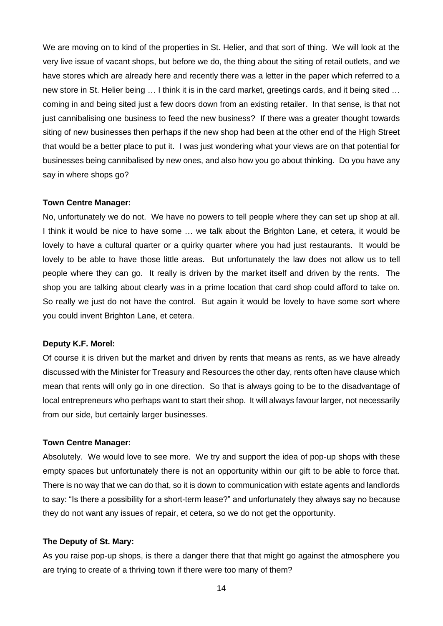We are moving on to kind of the properties in St. Helier, and that sort of thing. We will look at the very live issue of vacant shops, but before we do, the thing about the siting of retail outlets, and we have stores which are already here and recently there was a letter in the paper which referred to a new store in St. Helier being … I think it is in the card market, greetings cards, and it being sited … coming in and being sited just a few doors down from an existing retailer. In that sense, is that not just cannibalising one business to feed the new business? If there was a greater thought towards siting of new businesses then perhaps if the new shop had been at the other end of the High Street that would be a better place to put it. I was just wondering what your views are on that potential for businesses being cannibalised by new ones, and also how you go about thinking. Do you have any say in where shops go?

#### **Town Centre Manager:**

No, unfortunately we do not. We have no powers to tell people where they can set up shop at all. I think it would be nice to have some … we talk about the Brighton Lane, et cetera, it would be lovely to have a cultural quarter or a quirky quarter where you had just restaurants. It would be lovely to be able to have those little areas. But unfortunately the law does not allow us to tell people where they can go. It really is driven by the market itself and driven by the rents. The shop you are talking about clearly was in a prime location that card shop could afford to take on. So really we just do not have the control. But again it would be lovely to have some sort where you could invent Brighton Lane, et cetera.

#### **Deputy K.F. Morel:**

Of course it is driven but the market and driven by rents that means as rents, as we have already discussed with the Minister for Treasury and Resources the other day, rents often have clause which mean that rents will only go in one direction. So that is always going to be to the disadvantage of local entrepreneurs who perhaps want to start their shop. It will always favour larger, not necessarily from our side, but certainly larger businesses.

### **Town Centre Manager:**

Absolutely. We would love to see more. We try and support the idea of pop-up shops with these empty spaces but unfortunately there is not an opportunity within our gift to be able to force that. There is no way that we can do that, so it is down to communication with estate agents and landlords to say: "Is there a possibility for a short-term lease?" and unfortunately they always say no because they do not want any issues of repair, et cetera, so we do not get the opportunity.

#### **The Deputy of St. Mary:**

As you raise pop-up shops, is there a danger there that that might go against the atmosphere you are trying to create of a thriving town if there were too many of them?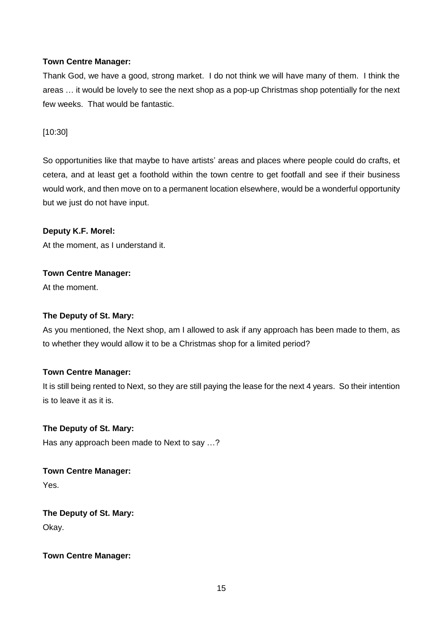# **Town Centre Manager:**

Thank God, we have a good, strong market. I do not think we will have many of them. I think the areas … it would be lovely to see the next shop as a pop-up Christmas shop potentially for the next few weeks. That would be fantastic.

[10:30]

So opportunities like that maybe to have artists' areas and places where people could do crafts, et cetera, and at least get a foothold within the town centre to get footfall and see if their business would work, and then move on to a permanent location elsewhere, would be a wonderful opportunity but we just do not have input.

# **Deputy K.F. Morel:**

At the moment, as I understand it.

# **Town Centre Manager:**

At the moment.

# **The Deputy of St. Mary:**

As you mentioned, the Next shop, am I allowed to ask if any approach has been made to them, as to whether they would allow it to be a Christmas shop for a limited period?

# **Town Centre Manager:**

It is still being rented to Next, so they are still paying the lease for the next 4 years. So their intention is to leave it as it is.

# **The Deputy of St. Mary:**

Has any approach been made to Next to say …?

# **Town Centre Manager:**

Yes.

**The Deputy of St. Mary:** Okay.

# **Town Centre Manager:**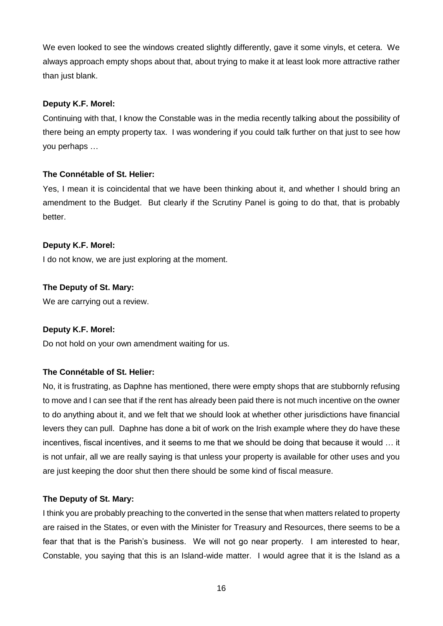We even looked to see the windows created slightly differently, gave it some vinyls, et cetera. We always approach empty shops about that, about trying to make it at least look more attractive rather than just blank.

## **Deputy K.F. Morel:**

Continuing with that, I know the Constable was in the media recently talking about the possibility of there being an empty property tax. I was wondering if you could talk further on that just to see how you perhaps …

# **The Connétable of St. Helier:**

Yes, I mean it is coincidental that we have been thinking about it, and whether I should bring an amendment to the Budget. But clearly if the Scrutiny Panel is going to do that, that is probably better.

# **Deputy K.F. Morel:**

I do not know, we are just exploring at the moment.

# **The Deputy of St. Mary:**

We are carrying out a review.

# **Deputy K.F. Morel:**

Do not hold on your own amendment waiting for us.

# **The Connétable of St. Helier:**

No, it is frustrating, as Daphne has mentioned, there were empty shops that are stubbornly refusing to move and I can see that if the rent has already been paid there is not much incentive on the owner to do anything about it, and we felt that we should look at whether other jurisdictions have financial levers they can pull. Daphne has done a bit of work on the Irish example where they do have these incentives, fiscal incentives, and it seems to me that we should be doing that because it would … it is not unfair, all we are really saying is that unless your property is available for other uses and you are just keeping the door shut then there should be some kind of fiscal measure.

# **The Deputy of St. Mary:**

I think you are probably preaching to the converted in the sense that when matters related to property are raised in the States, or even with the Minister for Treasury and Resources, there seems to be a fear that that is the Parish's business. We will not go near property. I am interested to hear, Constable, you saying that this is an Island-wide matter. I would agree that it is the Island as a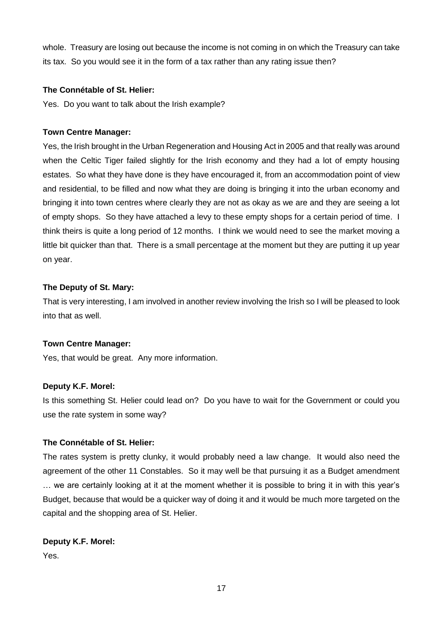whole. Treasury are losing out because the income is not coming in on which the Treasury can take its tax. So you would see it in the form of a tax rather than any rating issue then?

# **The Connétable of St. Helier:**

Yes. Do you want to talk about the Irish example?

## **Town Centre Manager:**

Yes, the Irish brought in the Urban Regeneration and Housing Act in 2005 and that really was around when the Celtic Tiger failed slightly for the Irish economy and they had a lot of empty housing estates. So what they have done is they have encouraged it, from an accommodation point of view and residential, to be filled and now what they are doing is bringing it into the urban economy and bringing it into town centres where clearly they are not as okay as we are and they are seeing a lot of empty shops. So they have attached a levy to these empty shops for a certain period of time. I think theirs is quite a long period of 12 months. I think we would need to see the market moving a little bit quicker than that. There is a small percentage at the moment but they are putting it up year on year.

## **The Deputy of St. Mary:**

That is very interesting, I am involved in another review involving the Irish so I will be pleased to look into that as well.

# **Town Centre Manager:**

Yes, that would be great. Any more information.

# **Deputy K.F. Morel:**

Is this something St. Helier could lead on? Do you have to wait for the Government or could you use the rate system in some way?

# **The Connétable of St. Helier:**

The rates system is pretty clunky, it would probably need a law change. It would also need the agreement of the other 11 Constables. So it may well be that pursuing it as a Budget amendment … we are certainly looking at it at the moment whether it is possible to bring it in with this year's Budget, because that would be a quicker way of doing it and it would be much more targeted on the capital and the shopping area of St. Helier.

# **Deputy K.F. Morel:**

Yes.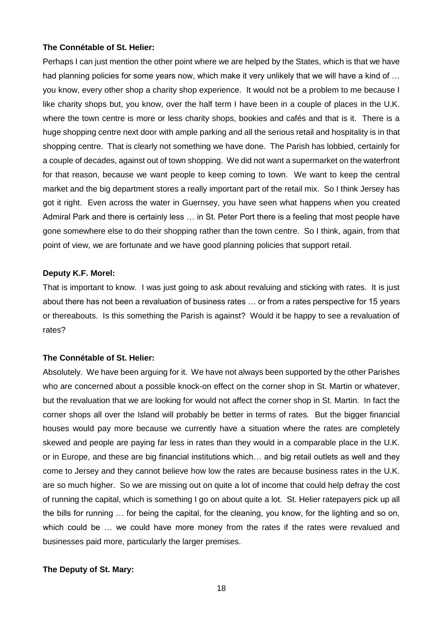#### **The Connétable of St. Helier:**

Perhaps I can just mention the other point where we are helped by the States, which is that we have had planning policies for some years now, which make it very unlikely that we will have a kind of ... you know, every other shop a charity shop experience. It would not be a problem to me because I like charity shops but, you know, over the half term I have been in a couple of places in the U.K. where the town centre is more or less charity shops, bookies and cafés and that is it. There is a huge shopping centre next door with ample parking and all the serious retail and hospitality is in that shopping centre. That is clearly not something we have done. The Parish has lobbied, certainly for a couple of decades, against out of town shopping. We did not want a supermarket on the waterfront for that reason, because we want people to keep coming to town. We want to keep the central market and the big department stores a really important part of the retail mix. So I think Jersey has got it right. Even across the water in Guernsey, you have seen what happens when you created Admiral Park and there is certainly less … in St. Peter Port there is a feeling that most people have gone somewhere else to do their shopping rather than the town centre. So I think, again, from that point of view, we are fortunate and we have good planning policies that support retail.

#### **Deputy K.F. Morel:**

That is important to know. I was just going to ask about revaluing and sticking with rates. It is just about there has not been a revaluation of business rates … or from a rates perspective for 15 years or thereabouts. Is this something the Parish is against? Would it be happy to see a revaluation of rates?

#### **The Connétable of St. Helier:**

Absolutely. We have been arguing for it. We have not always been supported by the other Parishes who are concerned about a possible knock-on effect on the corner shop in St. Martin or whatever, but the revaluation that we are looking for would not affect the corner shop in St. Martin. In fact the corner shops all over the Island will probably be better in terms of rates. But the bigger financial houses would pay more because we currently have a situation where the rates are completely skewed and people are paying far less in rates than they would in a comparable place in the U.K. or in Europe, and these are big financial institutions which… and big retail outlets as well and they come to Jersey and they cannot believe how low the rates are because business rates in the U.K. are so much higher. So we are missing out on quite a lot of income that could help defray the cost of running the capital, which is something I go on about quite a lot. St. Helier ratepayers pick up all the bills for running … for being the capital, for the cleaning, you know, for the lighting and so on, which could be ... we could have more money from the rates if the rates were revalued and businesses paid more, particularly the larger premises.

#### **The Deputy of St. Mary:**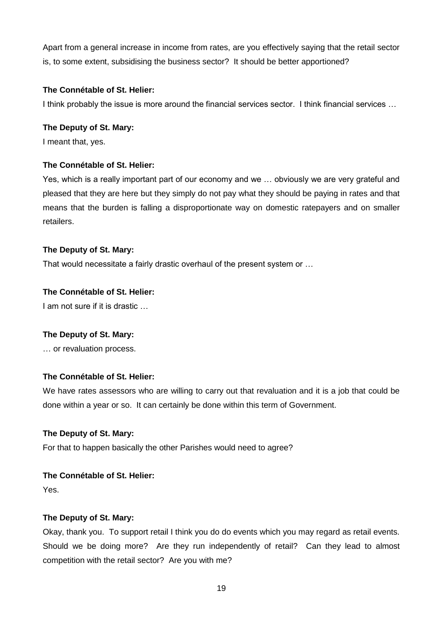Apart from a general increase in income from rates, are you effectively saying that the retail sector is, to some extent, subsidising the business sector? It should be better apportioned?

# **The Connétable of St. Helier:**

I think probably the issue is more around the financial services sector. I think financial services …

# **The Deputy of St. Mary:**

I meant that, yes.

# **The Connétable of St. Helier:**

Yes, which is a really important part of our economy and we … obviously we are very grateful and pleased that they are here but they simply do not pay what they should be paying in rates and that means that the burden is falling a disproportionate way on domestic ratepayers and on smaller retailers.

# **The Deputy of St. Mary:**

That would necessitate a fairly drastic overhaul of the present system or …

# **The Connétable of St. Helier:**

I am not sure if it is drastic …

# **The Deputy of St. Mary:**

… or revaluation process.

# **The Connétable of St. Helier:**

We have rates assessors who are willing to carry out that revaluation and it is a job that could be done within a year or so. It can certainly be done within this term of Government.

# **The Deputy of St. Mary:**

For that to happen basically the other Parishes would need to agree?

# **The Connétable of St. Helier:**

Yes.

# **The Deputy of St. Mary:**

Okay, thank you. To support retail I think you do do events which you may regard as retail events. Should we be doing more? Are they run independently of retail? Can they lead to almost competition with the retail sector? Are you with me?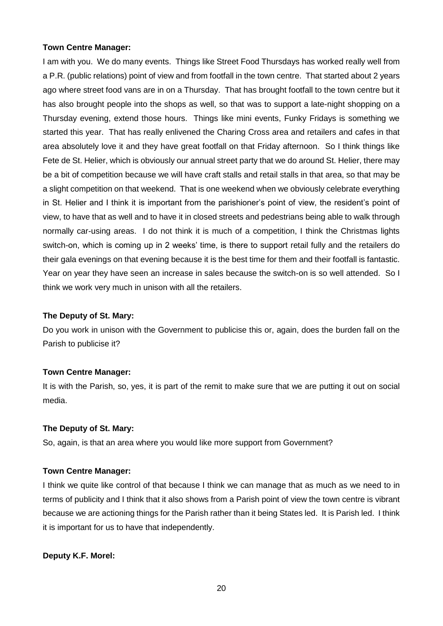## **Town Centre Manager:**

I am with you. We do many events. Things like Street Food Thursdays has worked really well from a P.R. (public relations) point of view and from footfall in the town centre. That started about 2 years ago where street food vans are in on a Thursday. That has brought footfall to the town centre but it has also brought people into the shops as well, so that was to support a late-night shopping on a Thursday evening, extend those hours. Things like mini events, Funky Fridays is something we started this year. That has really enlivened the Charing Cross area and retailers and cafes in that area absolutely love it and they have great footfall on that Friday afternoon. So I think things like Fete de St. Helier, which is obviously our annual street party that we do around St. Helier, there may be a bit of competition because we will have craft stalls and retail stalls in that area, so that may be a slight competition on that weekend. That is one weekend when we obviously celebrate everything in St. Helier and I think it is important from the parishioner's point of view, the resident's point of view, to have that as well and to have it in closed streets and pedestrians being able to walk through normally car-using areas. I do not think it is much of a competition, I think the Christmas lights switch-on, which is coming up in 2 weeks' time, is there to support retail fully and the retailers do their gala evenings on that evening because it is the best time for them and their footfall is fantastic. Year on year they have seen an increase in sales because the switch-on is so well attended. So I think we work very much in unison with all the retailers.

#### **The Deputy of St. Mary:**

Do you work in unison with the Government to publicise this or, again, does the burden fall on the Parish to publicise it?

#### **Town Centre Manager:**

It is with the Parish, so, yes, it is part of the remit to make sure that we are putting it out on social media.

#### **The Deputy of St. Mary:**

So, again, is that an area where you would like more support from Government?

#### **Town Centre Manager:**

I think we quite like control of that because I think we can manage that as much as we need to in terms of publicity and I think that it also shows from a Parish point of view the town centre is vibrant because we are actioning things for the Parish rather than it being States led. It is Parish led. I think it is important for us to have that independently.

# **Deputy K.F. Morel:**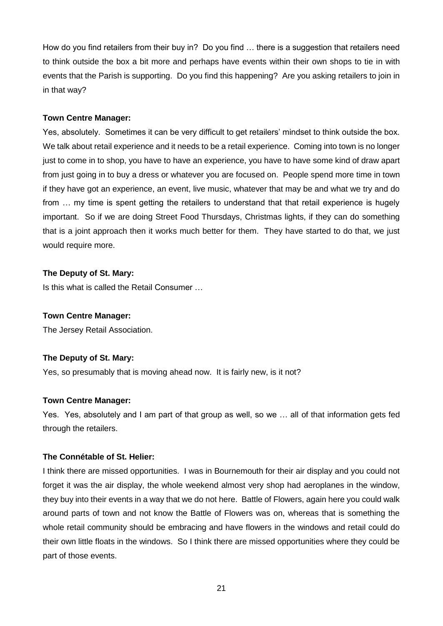How do you find retailers from their buy in? Do you find … there is a suggestion that retailers need to think outside the box a bit more and perhaps have events within their own shops to tie in with events that the Parish is supporting. Do you find this happening? Are you asking retailers to join in in that way?

# **Town Centre Manager:**

Yes, absolutely. Sometimes it can be very difficult to get retailers' mindset to think outside the box. We talk about retail experience and it needs to be a retail experience. Coming into town is no longer just to come in to shop, you have to have an experience, you have to have some kind of draw apart from just going in to buy a dress or whatever you are focused on. People spend more time in town if they have got an experience, an event, live music, whatever that may be and what we try and do from … my time is spent getting the retailers to understand that that retail experience is hugely important. So if we are doing Street Food Thursdays, Christmas lights, if they can do something that is a joint approach then it works much better for them. They have started to do that, we just would require more.

# **The Deputy of St. Mary:**

Is this what is called the Retail Consumer …

# **Town Centre Manager:**

The Jersey Retail Association.

# **The Deputy of St. Mary:**

Yes, so presumably that is moving ahead now. It is fairly new, is it not?

# **Town Centre Manager:**

Yes. Yes, absolutely and I am part of that group as well, so we … all of that information gets fed through the retailers.

# **The Connétable of St. Helier:**

I think there are missed opportunities. I was in Bournemouth for their air display and you could not forget it was the air display, the whole weekend almost very shop had aeroplanes in the window, they buy into their events in a way that we do not here. Battle of Flowers, again here you could walk around parts of town and not know the Battle of Flowers was on, whereas that is something the whole retail community should be embracing and have flowers in the windows and retail could do their own little floats in the windows. So I think there are missed opportunities where they could be part of those events.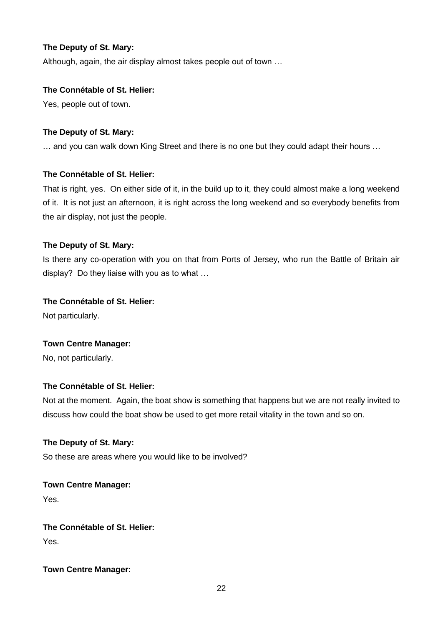# **The Deputy of St. Mary:**

Although, again, the air display almost takes people out of town …

# **The Connétable of St. Helier:**

Yes, people out of town.

# **The Deputy of St. Mary:**

… and you can walk down King Street and there is no one but they could adapt their hours …

# **The Connétable of St. Helier:**

That is right, yes. On either side of it, in the build up to it, they could almost make a long weekend of it. It is not just an afternoon, it is right across the long weekend and so everybody benefits from the air display, not just the people.

# **The Deputy of St. Mary:**

Is there any co-operation with you on that from Ports of Jersey, who run the Battle of Britain air display? Do they liaise with you as to what …

# **The Connétable of St. Helier:**

Not particularly.

# **Town Centre Manager:**

No, not particularly.

# **The Connétable of St. Helier:**

Not at the moment. Again, the boat show is something that happens but we are not really invited to discuss how could the boat show be used to get more retail vitality in the town and so on.

# **The Deputy of St. Mary:**

So these are areas where you would like to be involved?

# **Town Centre Manager:**

Yes.

# **The Connétable of St. Helier:**

Yes.

# **Town Centre Manager:**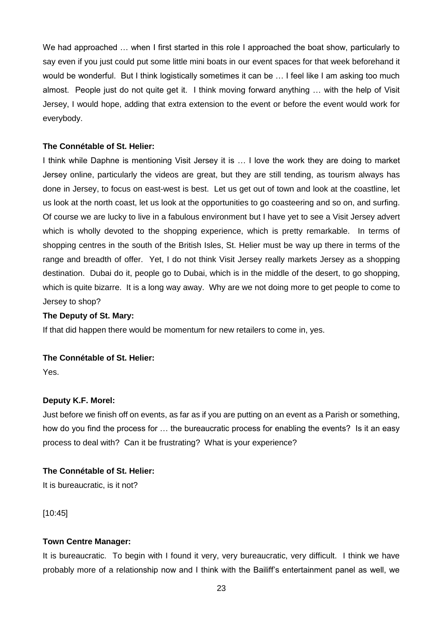We had approached ... when I first started in this role I approached the boat show, particularly to say even if you just could put some little mini boats in our event spaces for that week beforehand it would be wonderful. But I think logistically sometimes it can be … I feel like I am asking too much almost. People just do not quite get it. I think moving forward anything … with the help of Visit Jersey, I would hope, adding that extra extension to the event or before the event would work for everybody.

## **The Connétable of St. Helier:**

I think while Daphne is mentioning Visit Jersey it is … I love the work they are doing to market Jersey online, particularly the videos are great, but they are still tending, as tourism always has done in Jersey, to focus on east-west is best. Let us get out of town and look at the coastline, let us look at the north coast, let us look at the opportunities to go coasteering and so on, and surfing. Of course we are lucky to live in a fabulous environment but I have yet to see a Visit Jersey advert which is wholly devoted to the shopping experience, which is pretty remarkable. In terms of shopping centres in the south of the British Isles, St. Helier must be way up there in terms of the range and breadth of offer. Yet, I do not think Visit Jersey really markets Jersey as a shopping destination. Dubai do it, people go to Dubai, which is in the middle of the desert, to go shopping, which is quite bizarre. It is a long way away. Why are we not doing more to get people to come to Jersey to shop?

#### **The Deputy of St. Mary:**

If that did happen there would be momentum for new retailers to come in, yes.

### **The Connétable of St. Helier:**

Yes.

#### **Deputy K.F. Morel:**

Just before we finish off on events, as far as if you are putting on an event as a Parish or something, how do you find the process for … the bureaucratic process for enabling the events? Is it an easy process to deal with? Can it be frustrating? What is your experience?

#### **The Connétable of St. Helier:**

It is bureaucratic, is it not?

[10:45]

#### **Town Centre Manager:**

It is bureaucratic. To begin with I found it very, very bureaucratic, very difficult. I think we have probably more of a relationship now and I think with the Bailiff's entertainment panel as well, we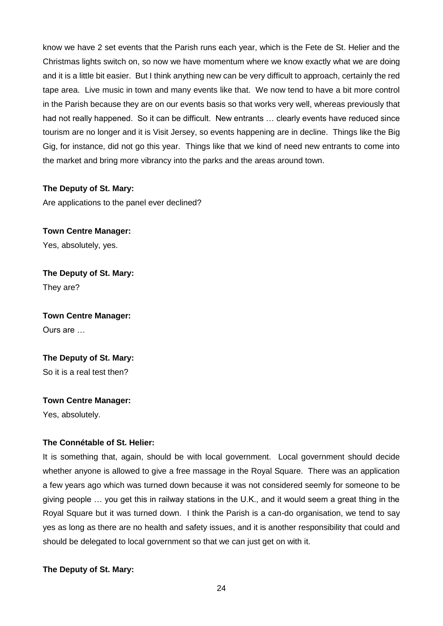know we have 2 set events that the Parish runs each year, which is the Fete de St. Helier and the Christmas lights switch on, so now we have momentum where we know exactly what we are doing and it is a little bit easier. But I think anything new can be very difficult to approach, certainly the red tape area. Live music in town and many events like that. We now tend to have a bit more control in the Parish because they are on our events basis so that works very well, whereas previously that had not really happened. So it can be difficult. New entrants … clearly events have reduced since tourism are no longer and it is Visit Jersey, so events happening are in decline. Things like the Big Gig, for instance, did not go this year. Things like that we kind of need new entrants to come into the market and bring more vibrancy into the parks and the areas around town.

# **The Deputy of St. Mary:**

Are applications to the panel ever declined?

**Town Centre Manager:** Yes, absolutely, yes.

**The Deputy of St. Mary:** They are?

**Town Centre Manager:** Ours are …

**The Deputy of St. Mary:** So it is a real test then?

**Town Centre Manager:**

Yes, absolutely.

# **The Connétable of St. Helier:**

It is something that, again, should be with local government. Local government should decide whether anyone is allowed to give a free massage in the Royal Square. There was an application a few years ago which was turned down because it was not considered seemly for someone to be giving people … you get this in railway stations in the U.K., and it would seem a great thing in the Royal Square but it was turned down. I think the Parish is a can-do organisation, we tend to say yes as long as there are no health and safety issues, and it is another responsibility that could and should be delegated to local government so that we can just get on with it.

**The Deputy of St. Mary:**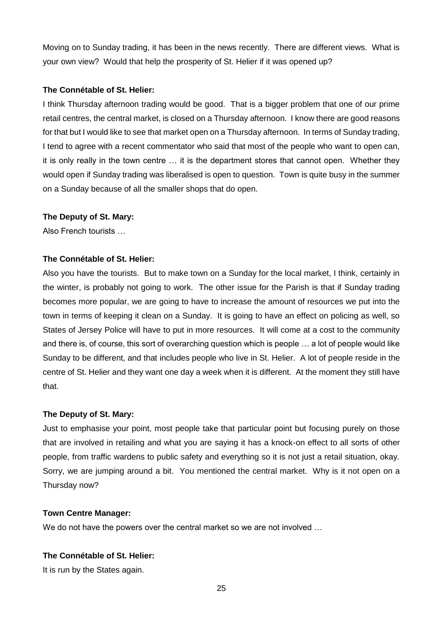Moving on to Sunday trading, it has been in the news recently. There are different views. What is your own view? Would that help the prosperity of St. Helier if it was opened up?

## **The Connétable of St. Helier:**

I think Thursday afternoon trading would be good. That is a bigger problem that one of our prime retail centres, the central market, is closed on a Thursday afternoon. I know there are good reasons for that but I would like to see that market open on a Thursday afternoon. In terms of Sunday trading, I tend to agree with a recent commentator who said that most of the people who want to open can, it is only really in the town centre … it is the department stores that cannot open. Whether they would open if Sunday trading was liberalised is open to question. Town is quite busy in the summer on a Sunday because of all the smaller shops that do open.

## **The Deputy of St. Mary:**

Also French tourists …

## **The Connétable of St. Helier:**

Also you have the tourists. But to make town on a Sunday for the local market, I think, certainly in the winter, is probably not going to work. The other issue for the Parish is that if Sunday trading becomes more popular, we are going to have to increase the amount of resources we put into the town in terms of keeping it clean on a Sunday. It is going to have an effect on policing as well, so States of Jersey Police will have to put in more resources. It will come at a cost to the community and there is, of course, this sort of overarching question which is people … a lot of people would like Sunday to be different, and that includes people who live in St. Helier. A lot of people reside in the centre of St. Helier and they want one day a week when it is different. At the moment they still have that.

#### **The Deputy of St. Mary:**

Just to emphasise your point, most people take that particular point but focusing purely on those that are involved in retailing and what you are saying it has a knock-on effect to all sorts of other people, from traffic wardens to public safety and everything so it is not just a retail situation, okay. Sorry, we are jumping around a bit. You mentioned the central market. Why is it not open on a Thursday now?

#### **Town Centre Manager:**

We do not have the powers over the central market so we are not involved ...

#### **The Connétable of St. Helier:**

It is run by the States again.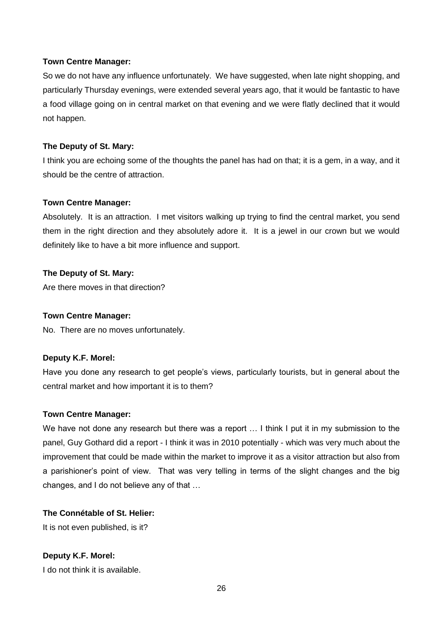#### **Town Centre Manager:**

So we do not have any influence unfortunately. We have suggested, when late night shopping, and particularly Thursday evenings, were extended several years ago, that it would be fantastic to have a food village going on in central market on that evening and we were flatly declined that it would not happen.

# **The Deputy of St. Mary:**

I think you are echoing some of the thoughts the panel has had on that; it is a gem, in a way, and it should be the centre of attraction.

# **Town Centre Manager:**

Absolutely. It is an attraction. I met visitors walking up trying to find the central market, you send them in the right direction and they absolutely adore it. It is a jewel in our crown but we would definitely like to have a bit more influence and support.

# **The Deputy of St. Mary:**

Are there moves in that direction?

# **Town Centre Manager:**

No. There are no moves unfortunately.

# **Deputy K.F. Morel:**

Have you done any research to get people's views, particularly tourists, but in general about the central market and how important it is to them?

# **Town Centre Manager:**

We have not done any research but there was a report ... I think I put it in my submission to the panel, Guy Gothard did a report - I think it was in 2010 potentially - which was very much about the improvement that could be made within the market to improve it as a visitor attraction but also from a parishioner's point of view. That was very telling in terms of the slight changes and the big changes, and I do not believe any of that …

# **The Connétable of St. Helier:**

It is not even published, is it?

# **Deputy K.F. Morel:**

I do not think it is available.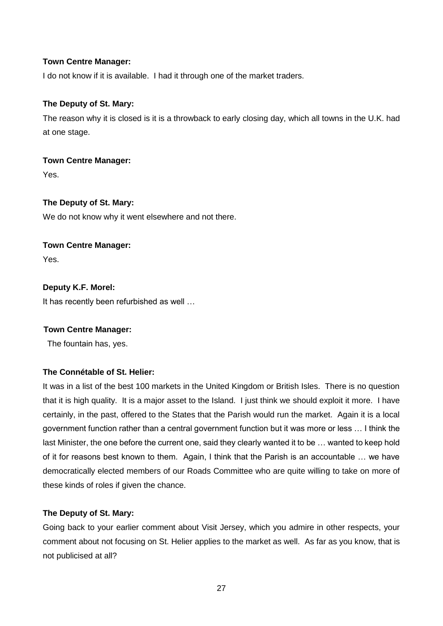# **Town Centre Manager:**

I do not know if it is available. I had it through one of the market traders.

# **The Deputy of St. Mary:**

The reason why it is closed is it is a throwback to early closing day, which all towns in the U.K. had at one stage.

# **Town Centre Manager:**

Yes.

# **The Deputy of St. Mary:**

We do not know why it went elsewhere and not there.

# **Town Centre Manager:**

Yes.

# **Deputy K.F. Morel:**

It has recently been refurbished as well …

# **Town Centre Manager:**

The fountain has, yes.

# **The Connétable of St. Helier:**

It was in a list of the best 100 markets in the United Kingdom or British Isles. There is no question that it is high quality. It is a major asset to the Island. I just think we should exploit it more. I have certainly, in the past, offered to the States that the Parish would run the market. Again it is a local government function rather than a central government function but it was more or less … I think the last Minister, the one before the current one, said they clearly wanted it to be … wanted to keep hold of it for reasons best known to them. Again, I think that the Parish is an accountable … we have democratically elected members of our Roads Committee who are quite willing to take on more of these kinds of roles if given the chance.

# **The Deputy of St. Mary:**

Going back to your earlier comment about Visit Jersey, which you admire in other respects, your comment about not focusing on St. Helier applies to the market as well. As far as you know, that is not publicised at all?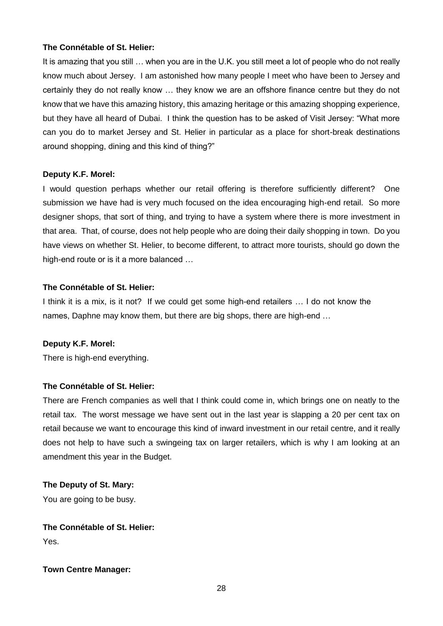# **The Connétable of St. Helier:**

It is amazing that you still … when you are in the U.K. you still meet a lot of people who do not really know much about Jersey. I am astonished how many people I meet who have been to Jersey and certainly they do not really know … they know we are an offshore finance centre but they do not know that we have this amazing history, this amazing heritage or this amazing shopping experience, but they have all heard of Dubai. I think the question has to be asked of Visit Jersey: "What more can you do to market Jersey and St. Helier in particular as a place for short-break destinations around shopping, dining and this kind of thing?"

#### **Deputy K.F. Morel:**

I would question perhaps whether our retail offering is therefore sufficiently different? One submission we have had is very much focused on the idea encouraging high-end retail. So more designer shops, that sort of thing, and trying to have a system where there is more investment in that area. That, of course, does not help people who are doing their daily shopping in town. Do you have views on whether St. Helier, to become different, to attract more tourists, should go down the high-end route or is it a more balanced …

#### **The Connétable of St. Helier:**

I think it is a mix, is it not? If we could get some high-end retailers … I do not know the names, Daphne may know them, but there are big shops, there are high-end …

#### **Deputy K.F. Morel:**

There is high-end everything.

#### **The Connétable of St. Helier:**

There are French companies as well that I think could come in, which brings one on neatly to the retail tax. The worst message we have sent out in the last year is slapping a 20 per cent tax on retail because we want to encourage this kind of inward investment in our retail centre, and it really does not help to have such a swingeing tax on larger retailers, which is why I am looking at an amendment this year in the Budget.

## **The Deputy of St. Mary:**

You are going to be busy.

# **The Connétable of St. Helier:**

Yes.

#### **Town Centre Manager:**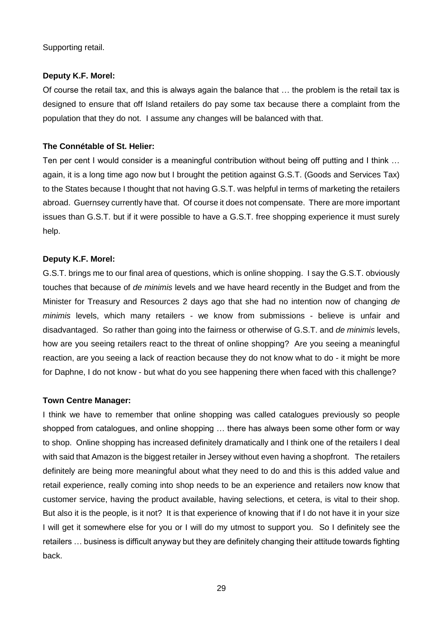Supporting retail.

#### **Deputy K.F. Morel:**

Of course the retail tax, and this is always again the balance that … the problem is the retail tax is designed to ensure that off Island retailers do pay some tax because there a complaint from the population that they do not. I assume any changes will be balanced with that.

#### **The Connétable of St. Helier:**

Ten per cent I would consider is a meaningful contribution without being off putting and I think … again, it is a long time ago now but I brought the petition against G.S.T. (Goods and Services Tax) to the States because I thought that not having G.S.T. was helpful in terms of marketing the retailers abroad. Guernsey currently have that. Of course it does not compensate. There are more important issues than G.S.T. but if it were possible to have a G.S.T. free shopping experience it must surely help.

#### **Deputy K.F. Morel:**

G.S.T. brings me to our final area of questions, which is online shopping. I say the G.S.T. obviously touches that because of *de minimis* levels and we have heard recently in the Budget and from the Minister for Treasury and Resources 2 days ago that she had no intention now of changing *de minimis* levels, which many retailers - we know from submissions - believe is unfair and disadvantaged. So rather than going into the fairness or otherwise of G.S.T. and *de minimis* levels, how are you seeing retailers react to the threat of online shopping? Are you seeing a meaningful reaction, are you seeing a lack of reaction because they do not know what to do - it might be more for Daphne, I do not know - but what do you see happening there when faced with this challenge?

#### **Town Centre Manager:**

I think we have to remember that online shopping was called catalogues previously so people shopped from catalogues, and online shopping … there has always been some other form or way to shop. Online shopping has increased definitely dramatically and I think one of the retailers I deal with said that Amazon is the biggest retailer in Jersey without even having a shopfront. The retailers definitely are being more meaningful about what they need to do and this is this added value and retail experience, really coming into shop needs to be an experience and retailers now know that customer service, having the product available, having selections, et cetera, is vital to their shop. But also it is the people, is it not? It is that experience of knowing that if I do not have it in your size I will get it somewhere else for you or I will do my utmost to support you. So I definitely see the retailers … business is difficult anyway but they are definitely changing their attitude towards fighting back.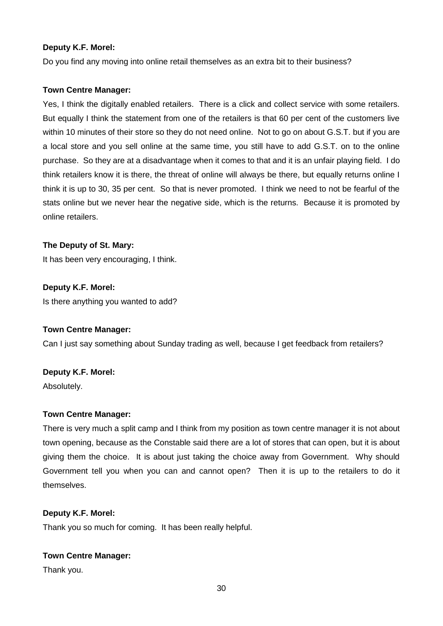# **Deputy K.F. Morel:**

Do you find any moving into online retail themselves as an extra bit to their business?

## **Town Centre Manager:**

Yes, I think the digitally enabled retailers. There is a click and collect service with some retailers. But equally I think the statement from one of the retailers is that 60 per cent of the customers live within 10 minutes of their store so they do not need online. Not to go on about G.S.T. but if you are a local store and you sell online at the same time, you still have to add G.S.T. on to the online purchase. So they are at a disadvantage when it comes to that and it is an unfair playing field. I do think retailers know it is there, the threat of online will always be there, but equally returns online I think it is up to 30, 35 per cent. So that is never promoted. I think we need to not be fearful of the stats online but we never hear the negative side, which is the returns. Because it is promoted by online retailers.

## **The Deputy of St. Mary:**

It has been very encouraging, I think.

**Deputy K.F. Morel:** Is there anything you wanted to add?

#### **Town Centre Manager:**

Can I just say something about Sunday trading as well, because I get feedback from retailers?

#### **Deputy K.F. Morel:**

Absolutely.

#### **Town Centre Manager:**

There is very much a split camp and I think from my position as town centre manager it is not about town opening, because as the Constable said there are a lot of stores that can open, but it is about giving them the choice. It is about just taking the choice away from Government. Why should Government tell you when you can and cannot open? Then it is up to the retailers to do it themselves.

#### **Deputy K.F. Morel:**

Thank you so much for coming. It has been really helpful.

# **Town Centre Manager:**

Thank you.